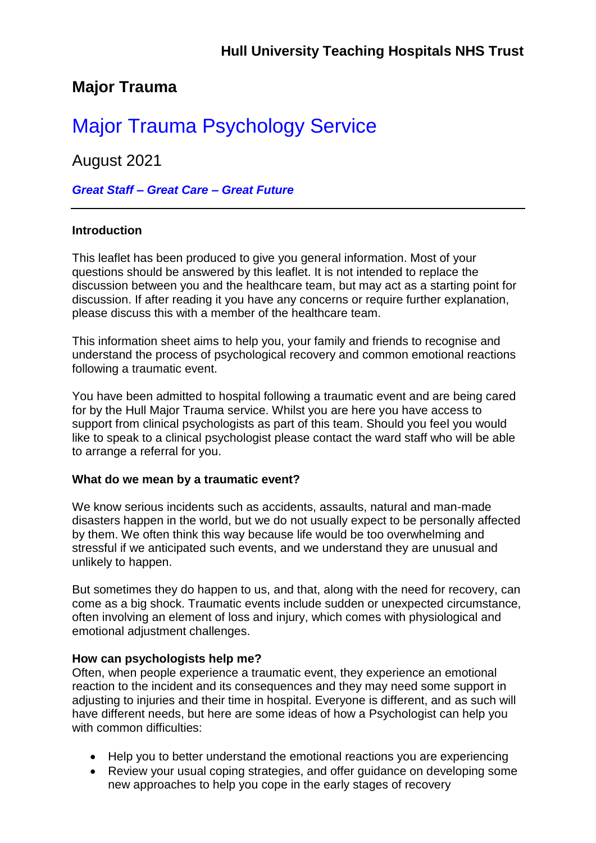## **Major Trauma**

# Major Trauma Psychology Service

August 2021

*Great Staff – Great Care – Great Future*

#### **Introduction**

This leaflet has been produced to give you general information. Most of your questions should be answered by this leaflet. It is not intended to replace the discussion between you and the healthcare team, but may act as a starting point for discussion. If after reading it you have any concerns or require further explanation, please discuss this with a member of the healthcare team.

This information sheet aims to help you, your family and friends to recognise and understand the process of psychological recovery and common emotional reactions following a traumatic event.

You have been admitted to hospital following a traumatic event and are being cared for by the Hull Major Trauma service. Whilst you are here you have access to support from clinical psychologists as part of this team. Should you feel you would like to speak to a clinical psychologist please contact the ward staff who will be able to arrange a referral for you.

#### **What do we mean by a traumatic event?**

We know serious incidents such as accidents, assaults, natural and man-made disasters happen in the world, but we do not usually expect to be personally affected by them. We often think this way because life would be too overwhelming and stressful if we anticipated such events, and we understand they are unusual and unlikely to happen.

But sometimes they do happen to us, and that, along with the need for recovery, can come as a big shock. Traumatic events include sudden or unexpected circumstance, often involving an element of loss and injury, which comes with physiological and emotional adjustment challenges.

#### **How can psychologists help me?**

Often, when people experience a traumatic event, they experience an emotional reaction to the incident and its consequences and they may need some support in adjusting to injuries and their time in hospital. Everyone is different, and as such will have different needs, but here are some ideas of how a Psychologist can help you with common difficulties:

- Help you to better understand the emotional reactions you are experiencing
- Review your usual coping strategies, and offer guidance on developing some new approaches to help you cope in the early stages of recovery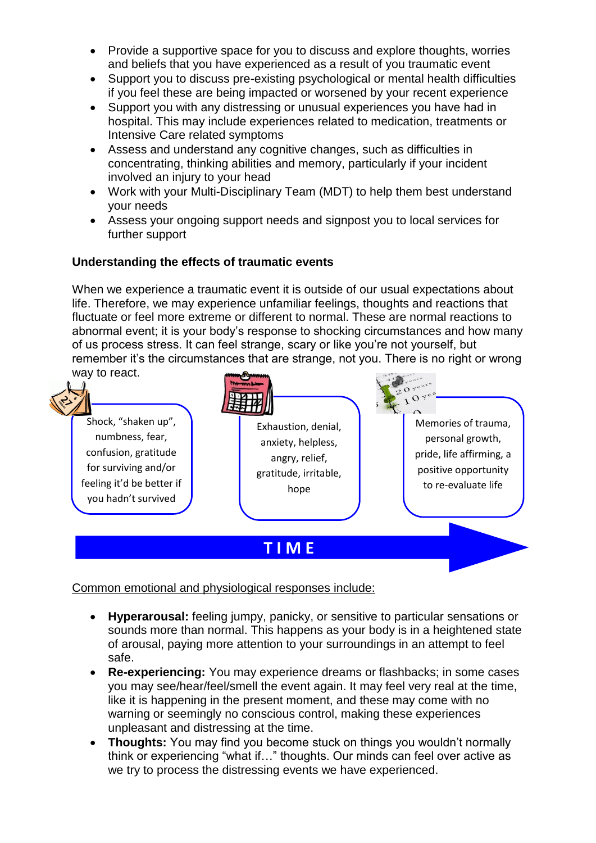- Provide a supportive space for you to discuss and explore thoughts, worries and beliefs that you have experienced as a result of you traumatic event
- Support you to discuss pre-existing psychological or mental health difficulties if you feel these are being impacted or worsened by your recent experience
- Support you with any distressing or unusual experiences you have had in hospital. This may include experiences related to medication, treatments or Intensive Care related symptoms
- Assess and understand any cognitive changes, such as difficulties in concentrating, thinking abilities and memory, particularly if your incident involved an injury to your head
- Work with your Multi-Disciplinary Team (MDT) to help them best understand your needs
- Assess your ongoing support needs and signpost you to local services for further support

### **Understanding the effects of traumatic events**

When we experience a traumatic event it is outside of our usual expectations about life. Therefore, we may experience unfamiliar feelings, thoughts and reactions that fluctuate or feel more extreme or different to normal. These are normal reactions to abnormal event; it is your body's response to shocking circumstances and how many of us process stress. It can feel strange, scary or like you're not yourself, but remember it's the circumstances that are strange, not you. There is no right or wrong way to react.



Common emotional and physiological responses include:

- **Hyperarousal:** feeling jumpy, panicky, or sensitive to particular sensations or sounds more than normal. This happens as your body is in a heightened state of arousal, paying more attention to your surroundings in an attempt to feel safe.
- **Re-experiencing:** You may experience dreams or flashbacks; in some cases you may see/hear/feel/smell the event again. It may feel very real at the time, like it is happening in the present moment, and these may come with no warning or seemingly no conscious control, making these experiences unpleasant and distressing at the time.
- **Thoughts:** You may find you become stuck on things you wouldn't normally think or experiencing "what if…" thoughts. Our minds can feel over active as we try to process the distressing events we have experienced.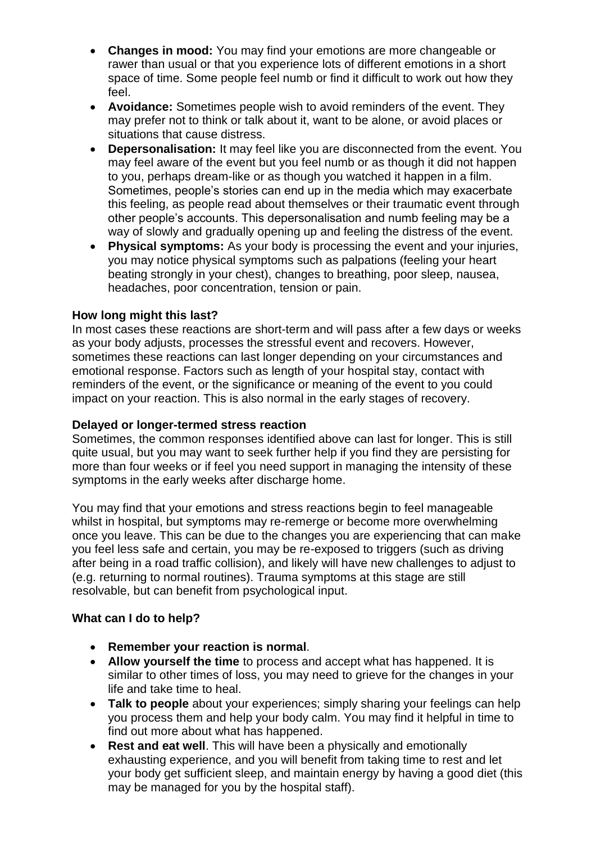- **Changes in mood:** You may find your emotions are more changeable or rawer than usual or that you experience lots of different emotions in a short space of time. Some people feel numb or find it difficult to work out how they feel.
- **Avoidance:** Sometimes people wish to avoid reminders of the event. They may prefer not to think or talk about it, want to be alone, or avoid places or situations that cause distress.
- **Depersonalisation:** It may feel like you are disconnected from the event. You may feel aware of the event but you feel numb or as though it did not happen to you, perhaps dream-like or as though you watched it happen in a film. Sometimes, people's stories can end up in the media which may exacerbate this feeling, as people read about themselves or their traumatic event through other people's accounts. This depersonalisation and numb feeling may be a way of slowly and gradually opening up and feeling the distress of the event.
- **Physical symptoms:** As your body is processing the event and your injuries, you may notice physical symptoms such as palpations (feeling your heart beating strongly in your chest), changes to breathing, poor sleep, nausea, headaches, poor concentration, tension or pain.

#### **How long might this last?**

In most cases these reactions are short-term and will pass after a few days or weeks as your body adjusts, processes the stressful event and recovers. However, sometimes these reactions can last longer depending on your circumstances and emotional response. Factors such as length of your hospital stay, contact with reminders of the event, or the significance or meaning of the event to you could impact on your reaction. This is also normal in the early stages of recovery.

#### **Delayed or longer-termed stress reaction**

Sometimes, the common responses identified above can last for longer. This is still quite usual, but you may want to seek further help if you find they are persisting for more than four weeks or if feel you need support in managing the intensity of these symptoms in the early weeks after discharge home.

You may find that your emotions and stress reactions begin to feel manageable whilst in hospital, but symptoms may re-remerge or become more overwhelming once you leave. This can be due to the changes you are experiencing that can make you feel less safe and certain, you may be re-exposed to triggers (such as driving after being in a road traffic collision), and likely will have new challenges to adjust to (e.g. returning to normal routines). Trauma symptoms at this stage are still resolvable, but can benefit from psychological input.

#### **What can I do to help?**

- **Remember your reaction is normal**.
- **Allow yourself the time** to process and accept what has happened. It is similar to other times of loss, you may need to grieve for the changes in your life and take time to heal.
- **Talk to people** about your experiences; simply sharing your feelings can help you process them and help your body calm. You may find it helpful in time to find out more about what has happened.
- **Rest and eat well**. This will have been a physically and emotionally exhausting experience, and you will benefit from taking time to rest and let your body get sufficient sleep, and maintain energy by having a good diet (this may be managed for you by the hospital staff).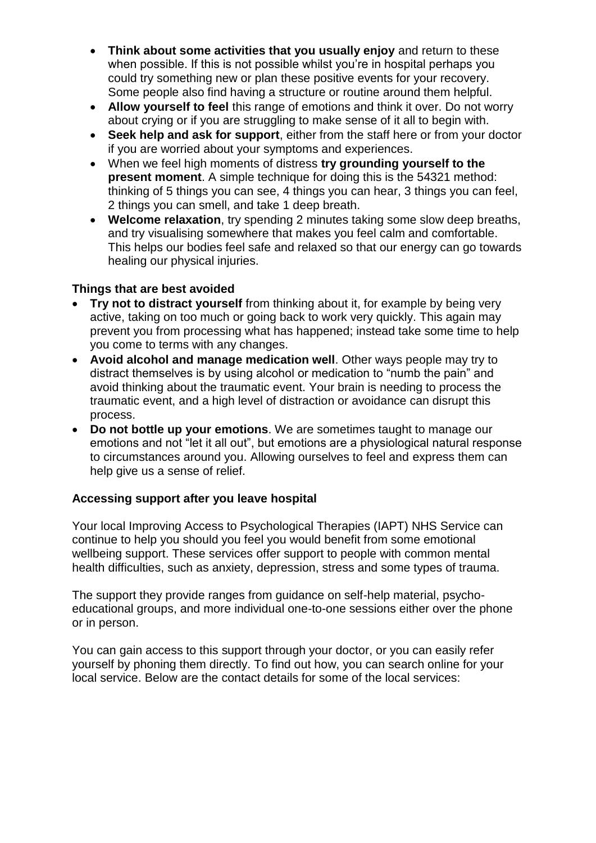- **Think about some activities that you usually enjoy** and return to these when possible. If this is not possible whilst you're in hospital perhaps you could try something new or plan these positive events for your recovery. Some people also find having a structure or routine around them helpful.
- **Allow yourself to feel** this range of emotions and think it over. Do not worry about crying or if you are struggling to make sense of it all to begin with.
- **Seek help and ask for support**, either from the staff here or from your doctor if you are worried about your symptoms and experiences.
- When we feel high moments of distress **try grounding yourself to the present moment**. A simple technique for doing this is the 54321 method: thinking of 5 things you can see, 4 things you can hear, 3 things you can feel, 2 things you can smell, and take 1 deep breath.
- **Welcome relaxation**, try spending 2 minutes taking some slow deep breaths, and try visualising somewhere that makes you feel calm and comfortable. This helps our bodies feel safe and relaxed so that our energy can go towards healing our physical injuries.

#### **Things that are best avoided**

- **Try not to distract yourself** from thinking about it, for example by being very active, taking on too much or going back to work very quickly. This again may prevent you from processing what has happened; instead take some time to help you come to terms with any changes.
- **Avoid alcohol and manage medication well**. Other ways people may try to distract themselves is by using alcohol or medication to "numb the pain" and avoid thinking about the traumatic event. Your brain is needing to process the traumatic event, and a high level of distraction or avoidance can disrupt this process.
- **Do not bottle up your emotions**. We are sometimes taught to manage our emotions and not "let it all out", but emotions are a physiological natural response to circumstances around you. Allowing ourselves to feel and express them can help give us a sense of relief.

#### **Accessing support after you leave hospital**

Your local Improving Access to Psychological Therapies (IAPT) NHS Service can continue to help you should you feel you would benefit from some emotional wellbeing support. These services offer support to people with common mental health difficulties, such as anxiety, depression, stress and some types of trauma.

The support they provide ranges from guidance on self-help material, psychoeducational groups, and more individual one-to-one sessions either over the phone or in person.

You can gain access to this support through your doctor, or you can easily refer yourself by phoning them directly. To find out how, you can search online for your local service. Below are the contact details for some of the local services: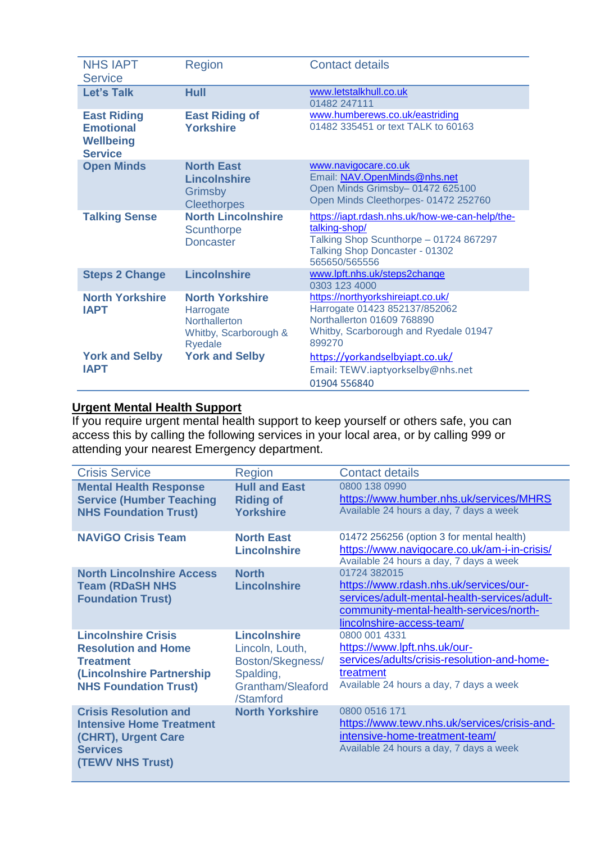| <b>NHS IAPT</b><br><b>Service</b>                                            | Region                                                                                          | <b>Contact details</b>                                                                                                                                       |
|------------------------------------------------------------------------------|-------------------------------------------------------------------------------------------------|--------------------------------------------------------------------------------------------------------------------------------------------------------------|
| <b>Let's Talk</b>                                                            | Hull                                                                                            | www.letstalkhull.co.uk<br>01482 247111                                                                                                                       |
| <b>East Riding</b><br><b>Emotional</b><br><b>Wellbeing</b><br><b>Service</b> | <b>East Riding of</b><br><b>Yorkshire</b>                                                       | www.humberews.co.uk/eastriding<br>01482 335451 or text TALK to 60163                                                                                         |
| <b>Open Minds</b>                                                            | <b>North East</b><br><b>Lincolnshire</b><br>Grimsby<br><b>Cleethorpes</b>                       | www.navigocare.co.uk<br>Email: NAV.OpenMinds@nhs.net<br>Open Minds Grimsby-01472 625100<br>Open Minds Cleethorpes- 01472 252760                              |
| <b>Talking Sense</b>                                                         | <b>North Lincolnshire</b><br><b>Scunthorpe</b><br><b>Doncaster</b>                              | https://iapt.rdash.nhs.uk/how-we-can-help/the-<br>talking-shop/<br>Talking Shop Scunthorpe - 01724 867297<br>Talking Shop Doncaster - 01302<br>565650/565556 |
| <b>Steps 2 Change</b>                                                        | <b>Lincolnshire</b>                                                                             | www.lpft.nhs.uk/steps2change<br>0303 123 4000                                                                                                                |
| <b>North Yorkshire</b><br><b>IAPT</b>                                        | <b>North Yorkshire</b><br>Harrogate<br><b>Northallerton</b><br>Whitby, Scarborough &<br>Ryedale | https://northyorkshireiapt.co.uk/<br>Harrogate 01423 852137/852062<br>Northallerton 01609 768890<br>Whitby, Scarborough and Ryedale 01947<br>899270          |
| <b>York and Selby</b><br><b>IAPT</b>                                         | <b>York and Selby</b>                                                                           | https://yorkandselbyiapt.co.uk/<br>Email: TEWV.iaptyorkselby@nhs.net<br>01904 556840                                                                         |

#### **Urgent Mental Health Support**

If you require urgent mental health support to keep yourself or others safe, you can access this by calling the following services in your local area, or by calling 999 or attending your nearest Emergency department.

| <b>Crisis Service</b>                                                                                                                     | Region                                                                                                    | <b>Contact details</b>                                                                                                                                                         |
|-------------------------------------------------------------------------------------------------------------------------------------------|-----------------------------------------------------------------------------------------------------------|--------------------------------------------------------------------------------------------------------------------------------------------------------------------------------|
| <b>Mental Health Response</b><br><b>Service (Humber Teaching</b><br><b>NHS Foundation Trust)</b>                                          | <b>Hull and East</b><br><b>Riding of</b><br><b>Yorkshire</b>                                              | 0800 138 0990<br>https://www.humber.nhs.uk/services/MHRS<br>Available 24 hours a day, 7 days a week                                                                            |
| <b>NAVIGO Crisis Team</b>                                                                                                                 | <b>North East</b><br><b>Lincolnshire</b>                                                                  | 01472 256256 (option 3 for mental health)<br>https://www.navigocare.co.uk/am-i-in-crisis/<br>Available 24 hours a day, 7 days a week                                           |
| <b>North Lincolnshire Access</b><br><b>Team (RDaSH NHS</b><br><b>Foundation Trust)</b>                                                    | <b>North</b><br><b>Lincolnshire</b>                                                                       | 01724 382015<br>https://www.rdash.nhs.uk/services/our-<br>services/adult-mental-health-services/adult-<br>community-mental-health-services/north-<br>lincolnshire-access-team/ |
| <b>Lincolnshire Crisis</b><br><b>Resolution and Home</b><br><b>Treatment</b><br>(Lincolnshire Partnership<br><b>NHS Foundation Trust)</b> | <b>Lincolnshire</b><br>Lincoln, Louth,<br>Boston/Skegness/<br>Spalding,<br>Grantham/Sleaford<br>/Stamford | 0800 001 4331<br>https://www.lpft.nhs.uk/our-<br>services/adults/crisis-resolution-and-home-<br>treatment<br>Available 24 hours a day, 7 days a week                           |
| <b>Crisis Resolution and</b><br><b>Intensive Home Treatment</b><br>(CHRT), Urgent Care<br><b>Services</b><br><b>(TEWV NHS Trust)</b>      | <b>North Yorkshire</b>                                                                                    | 0800 0516 171<br>https://www.tewv.nhs.uk/services/crisis-and-<br>intensive-home-treatment-team/<br>Available 24 hours a day, 7 days a week                                     |